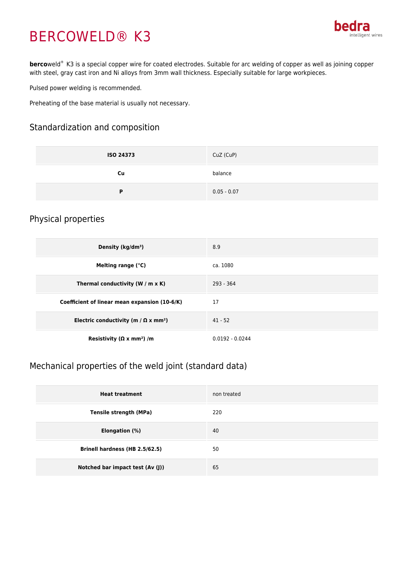# BERCOWELD® K3



**berco**weld® K3 is a special copper wire for coated electrodes. Suitable for arc welding of copper as well as joining copper with steel, gray cast iron and Ni alloys from 3mm wall thickness. Especially suitable for large workpieces.

Pulsed power welding is recommended.

Preheating of the base material is usually not necessary.

#### Standardization and composition

| <b>ISO 24373</b> | CuZ (CuP)     |
|------------------|---------------|
| Cu               | balance       |
| D                | $0.05 - 0.07$ |

#### Physical properties

| Density (kg/dm <sup>3</sup> )                           | 8.9               |
|---------------------------------------------------------|-------------------|
| Melting range (°C)                                      | ca. 1080          |
| Thermal conductivity (W / m $\times$ K)                 | $293 - 364$       |
| Coefficient of linear mean expansion (10-6/K)           | 17                |
| Electric conductivity (m / $\Omega$ x mm <sup>2</sup> ) | $41 - 52$         |
| Resistivity ( $\Omega \times$ mm <sup>2</sup> ) /m      | $0.0192 - 0.0244$ |

### Mechanical properties of the weld joint (standard data)

| <b>Heat treatment</b>            | non treated |
|----------------------------------|-------------|
| Tensile strength (MPa)           | 220         |
| Elongation (%)                   | 40          |
| Brinell hardness (HB 2.5/62.5)   | 50          |
| Notched bar impact test (Av (J)) | 65          |